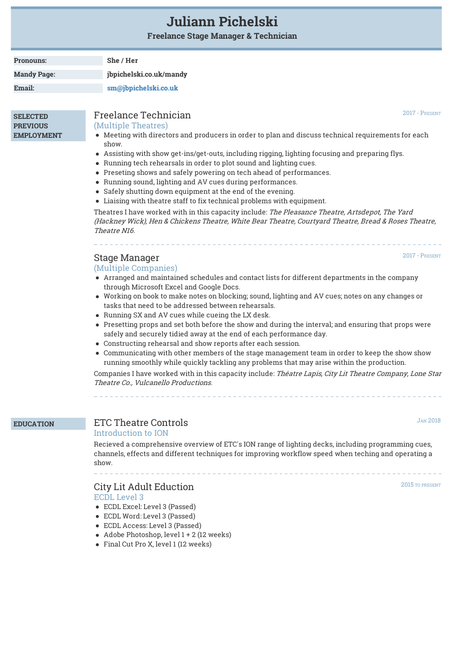# **Juliann Pichelski**

**Freelance Stage Manager & Technician**

| <b>Pronouns:</b>   | She / Her               |  |
|--------------------|-------------------------|--|
| <b>Mandy Page:</b> | jbpichelski.co.uk/mandy |  |
| Email:             | sm@jbpichelski.co.uk    |  |

**SELECTED PREVIOUS EMPLOYMENT**

# Freelance Technician

(Multiple Theatres)

- Meeting with directors and producers in order to plan and discuss technical requirements for each show.
- Assisting with show get-ins/get-outs, including rigging, lighting focusing and preparing flys.
- Running tech rehearsals in order to plot sound and lighting cues.
- Preseting shows and safely powering on tech ahead of performances.
- Running sound, lighting and AV cues during performances.
- Safely shutting down equipment at the end of the evening.
- Liaising with theatre staff to fix technical problems with equipment.

Theatres I have worked with in this capacity include: The Pleasance Theatre, Artsdepot, The Yard (Hackney Wick), Hen & Chickens Theatre, White Bear Theatre, Courtyard Theatre, Bread & Roses Theatre, Theatre N16.

# Stage Manager

### (Multiple Companies)

- Arranged and maintained schedules and contact lists for different departments in the company through Microsoft Excel and Google Docs.
- Working on book to make notes on blocking; sound, lighting and AV cues; notes on any changes or tasks that need to be addressed between rehearsals.
- Running SX and AV cues while cueing the LX desk.
- Presetting props and set both before the show and during the interval; and ensuring that props were safely and securely tidied away at the end of each performance day.
- Constructing rehearsal and show reports after each session.
- Communicating with other members of the stage management team in order to keep the show show running smoothly while quickly tackling any problems that may arise within the production.

Companies I have worked with in this capacity include: Théatre Lapis, City Lit Theatre Company, Lone Star Theatre Co., Vulcanello Productions.

## **EDUCATION** ETC Theatre Controls Introduction to ION

Recieved a comprehensive overview of ETC's ION range of lighting decks, including programming cues, channels, effects and different techniques for improving workflow speed when teching and operating a show.

# City Lit Adult Eduction

ECDL Level 3

- ECDL Excel: Level 3 (Passed)
- ECDL Word: Level 3 (Passed)
- ECDL Access: Level 3 (Passed)
- Adobe Photoshop, level 1 + 2 (12 weeks)
- Final Cut Pro X, level 1 (12 weeks)

2015 TO PRESENT

JAN 2018

2017 - PRESENT

2017 - PRESENT